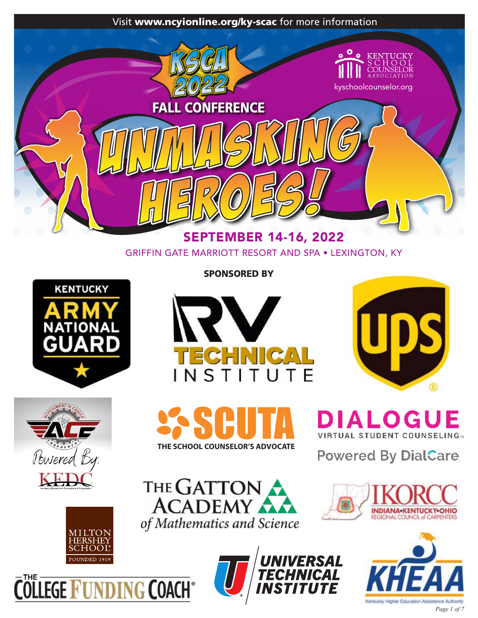

GRIFFIN GATE MARRIOTT RESORT AND SPA • LEXINGTON, KY





SPONSORED BY







**DIALOGUE TUAL STUDENT COUNSELING®** 

**Powered By DialCare** 



**COLLEGE FUNDING COACH** 

THE GATTON of Mathematics and Science



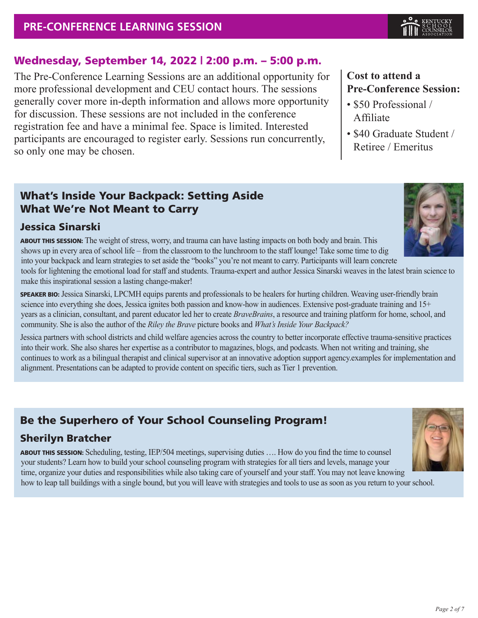

**Cost to attend a** 

Affiliate

• \$50 Professional /

**Pre-Conference Session:**

• \$40 Graduate Student / Retiree / Emeritus

#### Wednesday, September 14, 2022 | 2:00 p.m. – 5:00 p.m.

The Pre-Conference Learning Sessions are an additional opportunity for more professional development and CEU contact hours. The sessions generally cover more in-depth information and allows more opportunity for discussion. These sessions are not included in the conference registration fee and have a minimal fee. Space is limited. Interested participants are encouraged to register early. Sessions run concurrently, so only one may be chosen.

#### What's Inside Your Backpack: Setting Aside What We're Not Meant to Carry

#### Jessica Sinarski



ABOUT THIS SESSION: The weight of stress, worry, and trauma can have lasting impacts on both body and brain. This shows up in every area of school life – from the classroom to the lunchroom to the staff lounge! Take some time to dig into your backpack and learn strategies to set aside the "books" you're not meant to carry. Participants will learn concrete tools for lightening the emotional load for staff and students. Trauma-expert and author Jessica Sinarski weaves in the latest brain science to

make this inspirational session a lasting change-maker!

SPEAKER BIO: Jessica Sinarski, LPCMH equips parents and professionals to be healers for hurting children. Weaving user-friendly brain science into everything she does, Jessica ignites both passion and know-how in audiences. Extensive post-graduate training and 15+ years as a clinician, consultant, and parent educator led her to create *BraveBrains*, a resource and training platform for home, school, and community. She is also the author of the *Riley the Brave* picture books and *What's Inside Your Backpack?*

Jessica partners with school districts and child welfare agencies across the country to better incorporate effective trauma-sensitive practices into their work. She also shares her expertise as a contributor to magazines, blogs, and podcasts. When not writing and training, she continues to work as a bilingual therapist and clinical supervisor at an innovative adoption support agency.examples for implementation and alignment. Presentations can be adapted to provide content on specific tiers, such as Tier 1 prevention.

## Be the Superhero of Your School Counseling Program!

#### Sherilyn Bratcher

ABOUT THIS SESSION: Scheduling, testing, IEP/504 meetings, supervising duties …. How do you find the time to counsel your students? Learn how to build your school counseling program with strategies for all tiers and levels, manage your time, organize your duties and responsibilities while also taking care of yourself and your staff. You may not leave knowing how to leap tall buildings with a single bound, but you will leave with strategies and tools to use as soon as you return to your school.

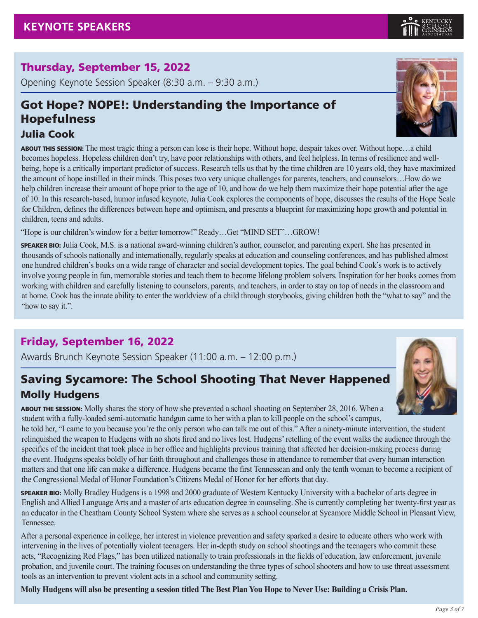### Thursday, September 15, 2022

Opening Keynote Session Speaker (8:30 a.m. – 9:30 a.m.)

## Got Hope? NOPE!: Understanding the Importance of Hopefulness

#### Julia Cook

ABOUT THIS SESSION: The most tragic thing a person can lose is their hope. Without hope, despair takes over. Without hope…a child becomes hopeless. Hopeless children don't try, have poor relationships with others, and feel helpless. In terms of resilience and wellbeing, hope is a critically important predictor of success. Research tells us that by the time children are 10 years old, they have maximized the amount of hope instilled in their minds. This poses two very unique challenges for parents, teachers, and counselors…How do we help children increase their amount of hope prior to the age of 10, and how do we help them maximize their hope potential after the age of 10. In this research-based, humor infused keynote, Julia Cook explores the components of hope, discusses the results of the Hope Scale for Children, defines the differences between hope and optimism, and presents a blueprint for maximizing hope growth and potential in children, teens and adults.

"Hope is our children's window for a better tomorrow!" Ready…Get "MIND SET"…GROW!

SPEAKER BIO: Julia Cook, M.S. is a national award-winning children's author, counselor, and parenting expert. She has presented in thousands of schools nationally and internationally, regularly speaks at education and counseling conferences, and has published almost one hundred children's books on a wide range of character and social development topics. The goal behind Cook's work is to actively involve young people in fun, memorable stories and teach them to become lifelong problem solvers. Inspiration for her books comes from working with children and carefully listening to counselors, parents, and teachers, in order to stay on top of needs in the classroom and at home. Cook has the innate ability to enter the worldview of a child through storybooks, giving children both the "what to say" and the "how to say it.".

### Friday, September 16, 2022

Awards Brunch Keynote Session Speaker (11:00 a.m. – 12:00 p.m.)

## Saving Sycamore: The School Shooting That Never Happened Molly Hudgens

ABOUT THE SESSION: Molly shares the story of how she prevented a school shooting on September 28, 2016. When a student with a fully-loaded semi-automatic handgun came to her with a plan to kill people on the school's campus,

he told her, "I came to you because you're the only person who can talk me out of this." After a ninety-minute intervention, the student relinquished the weapon to Hudgens with no shots fired and no lives lost. Hudgens' retelling of the event walks the audience through the specifics of the incident that took place in her office and highlights previous training that affected her decision-making process during the event. Hudgens speaks boldly of her faith throughout and challenges those in attendance to remember that every human interaction matters and that one life can make a difference. Hudgens became the first Tennessean and only the tenth woman to become a recipient of the Congressional Medal of Honor Foundation's Citizens Medal of Honor for her efforts that day.

SPEAKER BIO: Molly Bradley Hudgens is a 1998 and 2000 graduate of Western Kentucky University with a bachelor of arts degree in English and Allied Language Arts and a master of arts education degree in counseling. She is currently completing her twenty-first year as an educator in the Cheatham County School System where she serves as a school counselor at Sycamore Middle School in Pleasant View, Tennessee.

After a personal experience in college, her interest in violence prevention and safety sparked a desire to educate others who work with intervening in the lives of potentially violent teenagers. Her in-depth study on school shootings and the teenagers who commit these acts, "Recognizing Red Flags," has been utilized nationally to train professionals in the fields of education, law enforcement, juvenile probation, and juvenile court. The training focuses on understanding the three types of school shooters and how to use threat assessment tools as an intervention to prevent violent acts in a school and community setting.

**Molly Hudgens will also be presenting a session titled The Best Plan You Hope to Never Use: Building a Crisis Plan.**





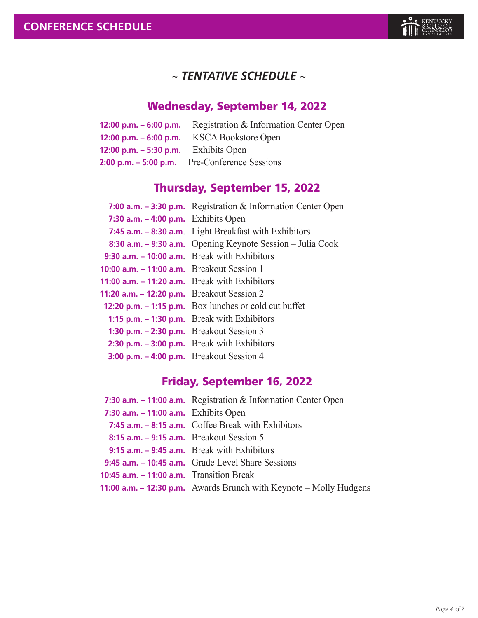

### *~ TENTATIVE SCHEDULE ~*

## Wednesday, September 14, 2022

|                                             | <b>12:00 p.m. – 6:00 p.m.</b> Registration $\&$ Information Center Open |
|---------------------------------------------|-------------------------------------------------------------------------|
|                                             | 12:00 p.m. $-$ 6:00 p.m. KSCA Bookstore Open                            |
| <b>12:00 p.m. – 5:30 p.m.</b> Exhibits Open |                                                                         |
|                                             | 2:00 p.m. $-$ 5:00 p.m. Pre-Conference Sessions                         |

## Thursday, September 15, 2022

|                                                   | 7:00 a.m. $-$ 3:30 p.m. Registration & Information Center Open        |
|---------------------------------------------------|-----------------------------------------------------------------------|
| 7:30 a.m. $-$ 4:00 p.m. Exhibits Open             |                                                                       |
|                                                   | 7:45 $a.m. - 8:30$ $a.m.$ Light Breakfast with Exhibitors             |
|                                                   | 8:30 a.m. – 9:30 a.m. Opening Keynote Session – Julia Cook            |
|                                                   | 9:30 $a.m. - 10:00$ $a.m.$ Break with Exhibitors                      |
| 10:00 $a.m. - 11:00$ $a.m.$ Breakout Session 1    |                                                                       |
| 11:00 $a.m. - 11:20$ $a.m.$ Break with Exhibitors |                                                                       |
| 11:20 $a.m. - 12:20$ p.m. Breakout Session 2      |                                                                       |
|                                                   | <b>12:20 p.m.</b> $-$ <b>1:15 p.m.</b> Box lunches or cold cut buffet |
|                                                   | 1:15 p.m. $-$ 1:30 p.m. Break with Exhibitors                         |
| 1:30 p.m. $-$ 2:30 p.m. Breakout Session 3        |                                                                       |
|                                                   | 2:30 p.m. $-$ 3:00 p.m. Break with Exhibitors                         |
| 3:00 p.m. $-$ 4:00 p.m. Breakout Session 4        |                                                                       |
|                                                   |                                                                       |

## Friday, September 16, 2022

|                                                          | 7:30 a.m. $-$ 11:00 a.m. Registration & Information Center Open    |
|----------------------------------------------------------|--------------------------------------------------------------------|
| 7:30 $a.m. - 11:00$ $a.m.$ Exhibits Open                 |                                                                    |
|                                                          | 7:45 $a.m. - 8:15$ $a.m.$ Coffee Break with Exhibitors             |
| 8:15 a.m. $-$ 9:15 a.m. Breakout Session 5               |                                                                    |
|                                                          | 9:15 $a.m. - 9:45$ $a.m.$ Break with Exhibitors                    |
|                                                          | 9:45 a.m. - 10:45 a.m. Grade Level Share Sessions                  |
| <b>10:45 a.m.</b> $-$ <b>11:00 a.m.</b> Transition Break |                                                                    |
|                                                          | 11:00 a.m. - 12:30 p.m. Awards Brunch with Keynote - Molly Hudgens |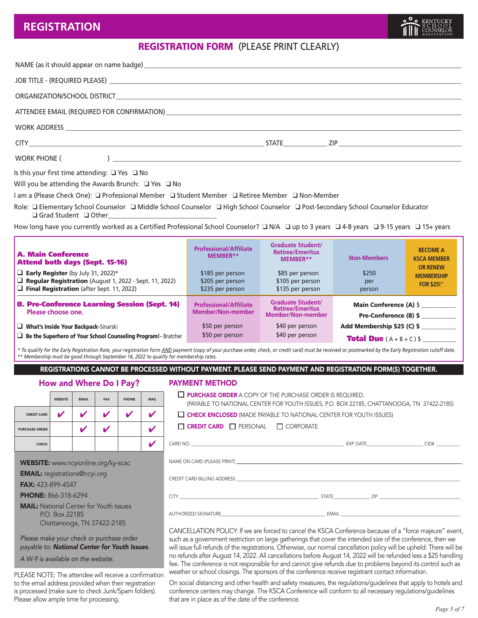#### **REGISTRATION**

### REGISTRATION FORM (PLEASE PRINT CLEARLY)

| WORK PHONE (<br><u> 1980 - John Barnett, fransk konge og det for de forskellige og det forskellige og det forskellige og det for</u> |  |
|--------------------------------------------------------------------------------------------------------------------------------------|--|

Is this your first time attending:  $\Box$  Yes  $\Box$  No

Will you be attending the Awards Brunch:  $\Box$  Yes  $\Box$  No

I am a (Please Check One): Q Professional Member Q Student Member Q Retiree Member Q Non-Member

Role: □ Elementary School Counselor □ Middle School Counselor □ High School Counselor □ Post-Secondary School Counselor Educator  $\Box$  Grad Student  $\Box$  Other

How long have you currently worked as a Certified Professional School Counselor?  $\Box$  N/A  $\Box$  up to 3 years  $\Box$  4-8 years  $\Box$  9-15 years  $\Box$  15+ years

| <b>A. Main Conference</b><br><b>Attend both days (Sept. 15-16)</b><br>$\Box$ Early Register (by July 31, 2022)*<br>Regular Registration (August 1, 2022 - Sept. 11, 2022)<br>$\Box$ Final Registration (after Sept. 11, 2022) | <b>Professional/Affiliate</b><br>MEMBER**<br>\$185 per person<br>\$205 per person<br>\$235 per person | <b>Graduate Student/</b><br><b>Retiree/Emeritus</b><br>MEMBER**<br>\$85 per person<br>\$105 per person<br>\$135 per person | <b>Non-Members</b><br>\$250<br>per<br>person                                         | <b>BECOME A</b><br><b>KSCA MEMBER</b><br><b>OR RENEW</b><br><b>MEMBERSHIP</b><br><b>FOR \$25!"</b> |
|-------------------------------------------------------------------------------------------------------------------------------------------------------------------------------------------------------------------------------|-------------------------------------------------------------------------------------------------------|----------------------------------------------------------------------------------------------------------------------------|--------------------------------------------------------------------------------------|----------------------------------------------------------------------------------------------------|
| <b>B. Pre-Conference Learning Session (Sept. 14)</b><br>Please choose one.<br>What's Inside Your Backpack-Sinarski                                                                                                            | <b>Professional/Affiliate</b><br>Member/Non-member<br>\$50 per person<br>\$50 per person              | <b>Graduate Student/</b><br><b>Retiree/Emeritus</b><br><b>Member/Non-member</b><br>\$40 per person<br>\$40 per person      | <b>Main Conference (A) \$</b><br>Pre-Conference (B) \$<br>Add Membership \$25 (C) \$ |                                                                                                    |
| $\Box$ Be the Superhero of Your School Counseling Program! - Bratcher                                                                                                                                                         |                                                                                                       |                                                                                                                            | <b>Total Due</b> $(A + B + C)$ \$                                                    |                                                                                                    |

*\* To qualify for the Early Registration Rate, your registration form AND payment (copy of your purchase order, check, or credit card) must be received or postmarked by the Early Registration cutoff date. \*\* Membership must be good through September 16, 2022 to qualify for membership rates.*

REGISTRATIONS CANNOT BE PROCESSED WITHOUT PAYMENT. PLEASE SEND PAYMENT AND REGISTRATION FORM(S) TOGETHER.

#### How and Where Do I Pay?

|                       | <b>WEBSITE</b> | <b>EMAIL</b> | <b>FAX</b> | <b>PHONE</b> | <b>MAIL</b> |
|-----------------------|----------------|--------------|------------|--------------|-------------|
| <b>CREDIT CARD</b>    |                | v            |            |              |             |
| <b>PURCHASE ORDER</b> |                |              |            |              | И           |
| <b>CHECK</b>          |                |              |            |              |             |

WEBSITE: www.ncyionline.org/ky-scac

EMAIL: registrations@ncyi.org

FAX: 423-899-4547

PHONE: 866-318-6294

**MAIL:** National Center for Youth Issues P.O. Box 22185 Chattanooga, TN 37422-2185

*Please make your check or purchase order payable to: National Center for Youth Issues*.

*A W-9 is available on the website.*

PLEASE NOTE: The attendee will receive a confirmation to the email address provided when their registration is processed (make sure to check Junk/Spam folders). Please allow ample time for processing.

#### PAYMENT METHOD

| $\Box$ Purchase order a copy of the purchase order is required.<br>(PAYABLE TO NATIONAL CENTER FOR YOUTH ISSUES, P.O. BOX 22185, CHATTANOOGA, TN 37422-2185) |  |  |  |  |  |
|--------------------------------------------------------------------------------------------------------------------------------------------------------------|--|--|--|--|--|
| $\Box$ CHECK ENCLOSED (MADE PAYABLE TO NATIONAL CENTER FOR YOUTH ISSUES)                                                                                     |  |  |  |  |  |
| $\Box$ Credit Card $\Box$ Personal $\Box$ Corporate                                                                                                          |  |  |  |  |  |
|                                                                                                                                                              |  |  |  |  |  |
|                                                                                                                                                              |  |  |  |  |  |
| CREDIT CARD BILLING ADDRESS AND THE SERVICE OF THE STATE OF THE STATE OF THE STATE OF THE STATE OF THE STATE O                                               |  |  |  |  |  |
|                                                                                                                                                              |  |  |  |  |  |
|                                                                                                                                                              |  |  |  |  |  |
|                                                                                                                                                              |  |  |  |  |  |

CANCELLATION POLICY: If we are forced to cancel the KSCA Conference because of a "force majeure" event, such as a government restriction on large gatherings that cover the intended size of the conference, then we will issue full refunds of the registrations. Otherwise, our normal cancellation policy will be upheld: There will be no refunds after August 14, 2022. All cancellations before August 14, 2022 will be refunded less a \$25 handling fee. The conference is not responsible for and cannot give refunds due to problems beyond its control such as weather or school closings. The sponsors of the conference receive registrant contact information.

On social distancing and other health and safety measures, the regulations/guidelines that apply to hotels and conference centers may change. The KSCA Conference will conform to all necessary regulations/guidelines that are in place as of the date of the conference.